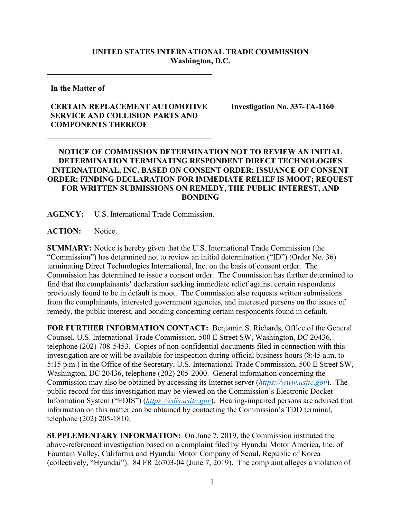## **UNITED STATES INTERNATIONAL TRADE COMMISSION Washington, D.C.**

**In the Matter of**

## **CERTAIN REPLACEMENT AUTOMOTIVE SERVICE AND COLLISION PARTS AND COMPONENTS THEREOF**

**Investigation No. 337-TA-1160**

## **NOTICE OF COMMISSION DETERMINATION NOT TO REVIEW AN INITIAL DETERMINATION TERMINATING RESPONDENT DIRECT TECHNOLOGIES INTERNATIONAL, INC. BASED ON CONSENT ORDER; ISSUANCE OF CONSENT ORDER; FINDING DECLARATION FOR IMMEDIATE RELIEF IS MOOT; REQUEST FOR WRITTEN SUBMISSIONS ON REMEDY, THE PUBLIC INTEREST, AND BONDING**

**AGENCY:** U.S. International Trade Commission.

**ACTION:** Notice.

**SUMMARY:** Notice is hereby given that the U.S. International Trade Commission (the "Commission") has determined not to review an initial determination ("ID") (Order No. 36) terminating Direct Technologies International, Inc. on the basis of consent order. The Commission has determined to issue a consent order. The Commission has further determined to find that the complainants' declaration seeking immediate relief against certain respondents previously found to be in default is moot. The Commission also requests written submissions from the complainants, interested government agencies, and interested persons on the issues of remedy, the public interest, and bonding concerning certain respondents found in default.

**FOR FURTHER INFORMATION CONTACT:** Benjamin S. Richards, Office of the General Counsel, U.S. International Trade Commission, 500 E Street SW, Washington, DC 20436, telephone (202) 708-5453. Copies of non-confidential documents filed in connection with this investigation are or will be available for inspection during official business hours (8:45 a.m. to 5:15 p.m.) in the Office of the Secretary, U.S. International Trade Commission, 500 E Street SW, Washington, DC 20436, telephone (202) 205-2000. General information concerning the Commission may also be obtained by accessing its Internet server (*[https://www.usitc.gov](https://www.usitc.gov/)*). The public record for this investigation may be viewed on the Commission's Electronic Docket Information System ("EDIS") (*[https://edis.usitc.gov](https://edis.usitc.gov/)*). Hearing-impaired persons are advised that information on this matter can be obtained by contacting the Commission's TDD terminal, telephone (202) 205-1810.

**SUPPLEMENTARY INFORMATION:** On June 7, 2019, the Commission instituted the above-referenced investigation based on a complaint filed by Hyundai Motor America, Inc. of Fountain Valley, California and Hyundai Motor Company of Seoul, Republic of Korea (collectively, "Hyundai"). 84 FR 26703-04 (June 7, 2019). The complaint alleges a violation of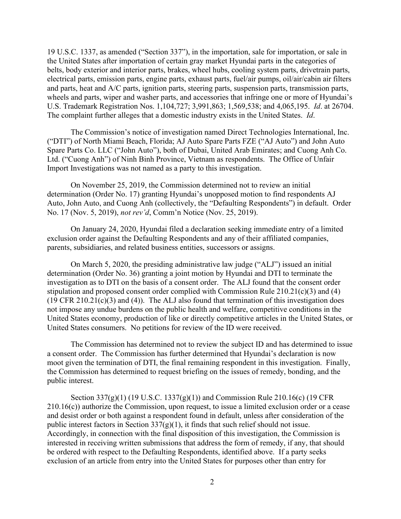19 U.S.C. 1337, as amended ("Section 337"), in the importation, sale for importation, or sale in the United States after importation of certain gray market Hyundai parts in the categories of belts, body exterior and interior parts, brakes, wheel hubs, cooling system parts, drivetrain parts, electrical parts, emission parts, engine parts, exhaust parts, fuel/air pumps, oil/air/cabin air filters and parts, heat and A/C parts, ignition parts, steering parts, suspension parts, transmission parts, wheels and parts, wiper and washer parts, and accessories that infringe one or more of Hyundai's U.S. Trademark Registration Nos. 1,104,727; 3,991,863; 1,569,538; and 4,065,195. *Id*. at 26704. The complaint further alleges that a domestic industry exists in the United States. *Id*.

The Commission's notice of investigation named Direct Technologies International, Inc. ("DTI") of North Miami Beach, Florida; AJ Auto Spare Parts FZE ("AJ Auto") and John Auto Spare Parts Co. LLC ("John Auto"), both of Dubai, United Arab Emirates; and Cuong Anh Co. Ltd. ("Cuong Anh") of Ninh Binh Province, Vietnam as respondents. The Office of Unfair Import Investigations was not named as a party to this investigation.

On November 25, 2019, the Commission determined not to review an initial determination (Order No. 17) granting Hyundai's unopposed motion to find respondents AJ Auto, John Auto, and Cuong Anh (collectively, the "Defaulting Respondents") in default. Order No. 17 (Nov. 5, 2019), *not rev'd*, Comm'n Notice (Nov. 25, 2019).

On January 24, 2020, Hyundai filed a declaration seeking immediate entry of a limited exclusion order against the Defaulting Respondents and any of their affiliated companies, parents, subsidiaries, and related business entities, successors or assigns.

On March 5, 2020, the presiding administrative law judge ("ALJ") issued an initial determination (Order No. 36) granting a joint motion by Hyundai and DTI to terminate the investigation as to DTI on the basis of a consent order. The ALJ found that the consent order stipulation and proposed consent order complied with Commission Rule 210.21(c)(3) and (4) (19 CFR 210.21 $(c)(3)$  and (4)). The ALJ also found that termination of this investigation does not impose any undue burdens on the public health and welfare, competitive conditions in the United States economy, production of like or directly competitive articles in the United States, or United States consumers. No petitions for review of the ID were received.

The Commission has determined not to review the subject ID and has determined to issue a consent order. The Commission has further determined that Hyundai's declaration is now moot given the termination of DTI, the final remaining respondent in this investigation. Finally, the Commission has determined to request briefing on the issues of remedy, bonding, and the public interest.

Section 337(g)(1) (19 U.S.C. 1337(g)(1)) and Commission Rule 210.16(c) (19 CFR 210.16(c)) authorize the Commission, upon request, to issue a limited exclusion order or a cease and desist order or both against a respondent found in default, unless after consideration of the public interest factors in Section  $337(g)(1)$ , it finds that such relief should not issue. Accordingly, in connection with the final disposition of this investigation, the Commission is interested in receiving written submissions that address the form of remedy, if any, that should be ordered with respect to the Defaulting Respondents, identified above. If a party seeks exclusion of an article from entry into the United States for purposes other than entry for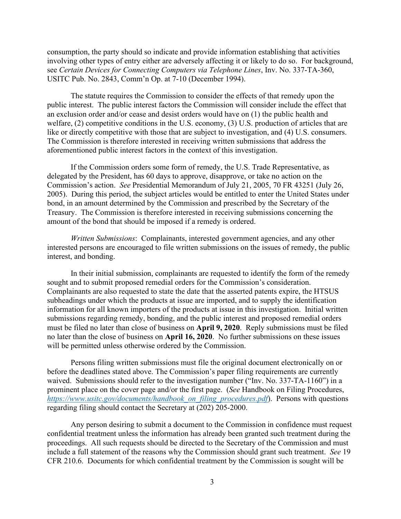consumption, the party should so indicate and provide information establishing that activities involving other types of entry either are adversely affecting it or likely to do so. For background, see *Certain Devices for Connecting Computers via Telephone Lines*, Inv. No. 337-TA-360, USITC Pub. No. 2843, Comm'n Op. at 7-10 (December 1994).

The statute requires the Commission to consider the effects of that remedy upon the public interest. The public interest factors the Commission will consider include the effect that an exclusion order and/or cease and desist orders would have on (1) the public health and welfare, (2) competitive conditions in the U.S. economy, (3) U.S. production of articles that are like or directly competitive with those that are subject to investigation, and (4) U.S. consumers. The Commission is therefore interested in receiving written submissions that address the aforementioned public interest factors in the context of this investigation.

If the Commission orders some form of remedy, the U.S. Trade Representative, as delegated by the President, has 60 days to approve, disapprove, or take no action on the Commission's action. *See* Presidential Memorandum of July 21, 2005, 70 FR 43251 (July 26, 2005). During this period, the subject articles would be entitled to enter the United States under bond, in an amount determined by the Commission and prescribed by the Secretary of the Treasury. The Commission is therefore interested in receiving submissions concerning the amount of the bond that should be imposed if a remedy is ordered.

*Written Submissions*: Complainants, interested government agencies, and any other interested persons are encouraged to file written submissions on the issues of remedy, the public interest, and bonding.

In their initial submission, complainants are requested to identify the form of the remedy sought and to submit proposed remedial orders for the Commission's consideration. Complainants are also requested to state the date that the asserted patents expire, the HTSUS subheadings under which the products at issue are imported, and to supply the identification information for all known importers of the products at issue in this investigation. Initial written submissions regarding remedy, bonding, and the public interest and proposed remedial orders must be filed no later than close of business on **April 9, 2020**. Reply submissions must be filed no later than the close of business on **April 16, 2020**. No further submissions on these issues will be permitted unless otherwise ordered by the Commission.

Persons filing written submissions must file the original document electronically on or before the deadlines stated above. The Commission's paper filing requirements are currently waived. Submissions should refer to the investigation number ("Inv. No. 337-TA-1160") in a prominent place on the cover page and/or the first page. (*See* Handbook on Filing Procedures, *[https://www.usitc.gov/documents/handbook\\_on\\_filing\\_procedures.pdf](https://www.usitc.gov/documents/handbook_on_filing_procedures.pdf)*). Persons with questions regarding filing should contact the Secretary at (202) 205-2000.

Any person desiring to submit a document to the Commission in confidence must request confidential treatment unless the information has already been granted such treatment during the proceedings. All such requests should be directed to the Secretary of the Commission and must include a full statement of the reasons why the Commission should grant such treatment. *See* 19 CFR 210.6. Documents for which confidential treatment by the Commission is sought will be